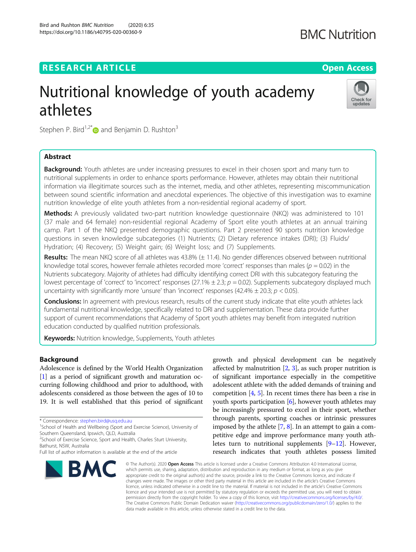## **RESEARCH ARTICLE Example 2014 12:30 The Contract of Contract ACCESS**

# Nutritional knowledge of youth academy athletes



Stephen P. Bird<sup>1,2\*</sup> and Benjamin D. Rushton<sup>3</sup>

### Abstract

**Background:** Youth athletes are under increasing pressures to excel in their chosen sport and many turn to nutritional supplements in order to enhance sports performance. However, athletes may obtain their nutritional information via illegitimate sources such as the internet, media, and other athletes, representing miscommunication between sound scientific information and anecdotal experiences. The objective of this investigation was to examine nutrition knowledge of elite youth athletes from a non-residential regional academy of sport.

Methods: A previously validated two-part nutrition knowledge questionnaire (NKQ) was administered to 101 (37 male and 64 female) non-residential regional Academy of Sport elite youth athletes at an annual training camp. Part 1 of the NKQ presented demographic questions. Part 2 presented 90 sports nutrition knowledge questions in seven knowledge subcategories (1) Nutrients; (2) Dietary reference intakes (DRI); (3) Fluids/ Hydration; (4) Recovery; (5) Weight gain; (6) Weight loss; and (7) Supplements.

Results: The mean NKQ score of all athletes was 43.8% (± 11.4). No gender differences observed between nutritional knowledge total scores, however female athletes recorded more 'correct' responses than males ( $p = 0.02$ ) in the Nutrients subcategory. Majority of athletes had difficulty identifying correct DRI with this subcategory featuring the lowest percentage of 'correct' to 'incorrect' responses (27.1%  $\pm$  2.3;  $p = 0.02$ ). Supplements subcategory displayed much uncertainty with significantly more 'unsure' than 'incorrect' responses (42.4%  $\pm$  20.3;  $p$  < 0.05).

Conclusions: In agreement with previous research, results of the current study indicate that elite youth athletes lack fundamental nutritional knowledge, specifically related to DRI and supplementation. These data provide further support of current recommendations that Academy of Sport youth athletes may benefit from integrated nutrition education conducted by qualified nutrition professionals.

Keywords: Nutrition knowledge, Supplements, Youth athletes

#### Background

Adolescence is defined by the World Health Organization [[1\]](#page-6-0) as a period of significant growth and maturation occurring following childhood and prior to adulthood, with adolescents considered as those between the ages of 10 to 19. It is well established that this period of significant

\* Correspondence: [stephen.bird@usq.edu.au](mailto:stephen.bird@usq.edu.au) <sup>1</sup>

<sup>1</sup>School of Health and Wellbeing (Sport and Exercise Science), University of Southern Queensland, Ipswich, QLD, Australia

<sup>2</sup>School of Exercise Science, Sport and Health, Charles Sturt University, Bathurst, NSW, Australia

Full list of author information is available at the end of the article



growth and physical development can be negatively affected by malnutrition  $[2, 3]$  $[2, 3]$  $[2, 3]$  $[2, 3]$ , as such proper nutrition is of significant importance especially in the competitive adolescent athlete with the added demands of training and competition  $[4, 5]$  $[4, 5]$  $[4, 5]$ . In recent times there has been a rise in youth sports participation [[6\]](#page-6-0), however youth athletes may be increasingly pressured to excel in their sport, whether through parents, sporting coaches or intrinsic pressures imposed by the athlete [\[7,](#page-7-0) [8](#page-7-0)]. In an attempt to gain a competitive edge and improve performance many youth athletes turn to nutritional supplements [[9](#page-7-0)–[12](#page-7-0)]. However, research indicates that youth athletes possess limited

© The Author(s), 2020 **Open Access** This article is licensed under a Creative Commons Attribution 4.0 International License, which permits use, sharing, adaptation, distribution and reproduction in any medium or format, as long as you give appropriate credit to the original author(s) and the source, provide a link to the Creative Commons licence, and indicate if changes were made. The images or other third party material in this article are included in the article's Creative Commons licence, unless indicated otherwise in a credit line to the material. If material is not included in the article's Creative Commons licence and your intended use is not permitted by statutory regulation or exceeds the permitted use, you will need to obtain permission directly from the copyright holder. To view a copy of this licence, visit [http://creativecommons.org/licenses/by/4.0/.](http://creativecommons.org/licenses/by/4.0/) The Creative Commons Public Domain Dedication waiver [\(http://creativecommons.org/publicdomain/zero/1.0/](http://creativecommons.org/publicdomain/zero/1.0/)) applies to the data made available in this article, unless otherwise stated in a credit line to the data.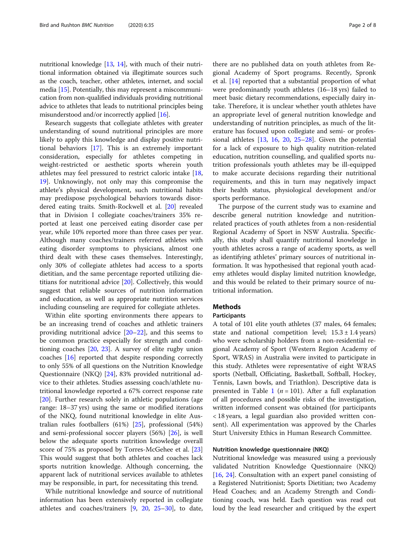nutritional knowledge [\[13,](#page-7-0) [14](#page-7-0)], with much of their nutritional information obtained via illegitimate sources such as the coach, teacher, other athletes, internet, and social media [[15](#page-7-0)]. Potentially, this may represent a miscommunication from non-qualified individuals providing nutritional advice to athletes that leads to nutritional principles being misunderstood and/or incorrectly applied [[16](#page-7-0)].

Research suggests that collegiate athletes with greater understanding of sound nutritional principles are more likely to apply this knowledge and display positive nutritional behaviors [[17\]](#page-7-0). This is an extremely important consideration, especially for athletes competing in weight-restricted or aesthetic sports wherein youth athletes may feel pressured to restrict caloric intake [[18](#page-7-0), [19\]](#page-7-0). Unknowingly, not only may this compromise the athlete's physical development, such nutritional habits may predispose psychological behaviors towards disordered eating traits. Smith-Rockwell et al. [\[20](#page-7-0)] revealed that in Division I collegiate coaches/trainers 35% reported at least one perceived eating disorder case per year, while 10% reported more than three cases per year. Although many coaches/trainers referred athletes with eating disorder symptoms to physicians, almost one third dealt with these cases themselves. Interestingly, only 30% of collegiate athletes had access to a sports dietitian, and the same percentage reported utilizing dietitians for nutritional advice [\[20](#page-7-0)]. Collectively, this would suggest that reliable sources of nutrition information and education, as well as appropriate nutrition services including counseling are required for collegiate athletes.

Within elite sporting environments there appears to be an increasing trend of coaches and athletic trainers providing nutritional advice [\[20](#page-7-0)–[22\]](#page-7-0), and this seems to be common practice especially for strength and conditioning coaches [[20,](#page-7-0) [23\]](#page-7-0). A survey of elite rugby union coaches [[16\]](#page-7-0) reported that despite responding correctly to only 55% of all questions on the Nutrition Knowledge Questionnaire (NKQ) [[24](#page-7-0)], 83% provided nutritional advice to their athletes. Studies assessing coach/athlete nutritional knowledge reported a 67% correct response rate [[20\]](#page-7-0). Further research solely in athletic populations (age range: 18–37 yrs) using the same or modified iterations of the NKQ, found nutritional knowledge in elite Australian rules footballers (61%) [[25\]](#page-7-0), professional (54%) and semi-professional soccer players (56%) [\[26](#page-7-0)], is well below the adequate sports nutrition knowledge overall score of 75% as proposed by Torres-McGehee et al. [[23](#page-7-0)] This would suggest that both athletes and coaches lack sports nutrition knowledge. Although concerning, the apparent lack of nutritional services available to athletes may be responsible, in part, for necessitating this trend.

While nutritional knowledge and source of nutritional information has been extensively reported in collegiate athletes and coaches/trainers [[9,](#page-7-0) [20,](#page-7-0) [25](#page-7-0)–[30](#page-7-0)], to date,

there are no published data on youth athletes from Regional Academy of Sport programs. Recently, Spronk et al. [\[14](#page-7-0)] reported that a substantial proportion of what were predominantly youth athletes (16–18 yrs) failed to meet basic dietary recommendations, especially dairy intake. Therefore, it is unclear whether youth athletes have an appropriate level of general nutrition knowledge and understanding of nutrition principles, as much of the literature has focused upon collegiate and semi- or professional athletes [[13,](#page-7-0) [16](#page-7-0), [20,](#page-7-0) [25](#page-7-0)–[28\]](#page-7-0). Given the potential for a lack of exposure to high quality nutrition-related education, nutrition counselling, and qualified sports nutrition professionals youth athletes may be ill-equipped to make accurate decisions regarding their nutritional requirements, and this in turn may negatively impact their health status, physiological development and/or sports performance.

The purpose of the current study was to examine and describe general nutrition knowledge and nutritionrelated practices of youth athletes from a non-residential Regional Academy of Sport in NSW Australia. Specifically, this study shall quantify nutritional knowledge in youth athletes across a range of academy sports, as well as identifying athletes' primary sources of nutritional information. It was hypothesised that regional youth academy athletes would display limited nutrition knowledge, and this would be related to their primary source of nutritional information.

#### Methods

#### Participants

A total of 101 elite youth athletes (37 males, 64 females; state and national competition level;  $15.3 \pm 1.4$  years) who were scholarship holders from a non-residential regional Academy of Sport (Western Region Academy of Sport, WRAS) in Australia were invited to participate in this study. Athletes were representative of eight WRAS sports (Netball, Officiating, Basketball, Softball, Hockey, Tennis, Lawn bowls, and Triathlon). Descriptive data is presented in Table [1](#page-2-0) ( $n = 101$ ). After a full explanation of all procedures and possible risks of the investigation, written informed consent was obtained (for participants < 18 years, a legal guardian also provided written consent). All experimentation was approved by the Charles Sturt University Ethics in Human Research Committee.

#### Nutrition knowledge questionnaire (NKQ)

Nutritional knowledge was measured using a previously validated Nutrition Knowledge Questionnaire (NKQ) [[16,](#page-7-0) [24](#page-7-0)]. Consultation with an expert panel consisting of a Registered Nutritionist; Sports Dietitian; two Academy Head Coaches; and an Academy Strength and Conditioning coach, was held. Each question was read out loud by the lead researcher and critiqued by the expert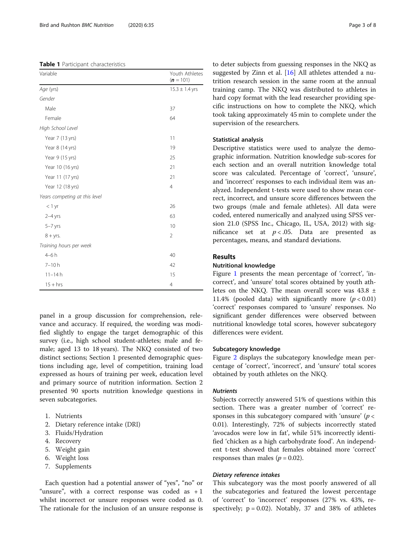<span id="page-2-0"></span>Table 1 Participant characteristics

| Variable                      | Youth Athletes<br>$(n = 101)$ |
|-------------------------------|-------------------------------|
| Age (yrs)                     | $15.3 \pm 1.4$ yrs            |
| Gender                        |                               |
| Male                          | 37                            |
| Female                        | 64                            |
| High School Level             |                               |
| Year 7 (13 yrs)               | 11                            |
| Year 8 (14 yrs)               | 19                            |
| Year 9 (15 yrs)               | 25                            |
| Year 10 (16 yrs)              | 21                            |
| Year 11 (17 yrs)              | 21                            |
| Year 12 (18 yrs)              | $\overline{4}$                |
| Years competing at this level |                               |
| $<$ 1 yr                      | 26                            |
| $2-4$ yrs                     | 63                            |
| $5 - 7$ yrs                   | 10                            |
| $8 + yrs$ .                   | $\overline{2}$                |
| Training hours per week       |                               |
| $4-6h$                        | 40                            |
| $7 - 10h$                     | 42                            |
| $11 - 14h$                    | 15                            |
| $15 + hrs$                    | $\overline{4}$                |

panel in a group discussion for comprehension, relevance and accuracy. If required, the wording was modified slightly to engage the target demographic of this survey (i.e., high school student-athletes; male and female; aged 13 to 18 years). The NKQ consisted of two distinct sections; Section 1 presented demographic questions including age, level of competition, training load expressed as hours of training per week, education level and primary source of nutrition information. Section 2 presented 90 sports nutrition knowledge questions in seven subcategories.

- 1. Nutrients
- 2. Dietary reference intake (DRI)
- 3. Fluids/Hydration
- 4. Recovery
- 5. Weight gain
- 6. Weight loss
- 7. Supplements

Each question had a potential answer of "yes", "no" or "unsure", with a correct response was coded as  $+1$ whilst incorrect or unsure responses were coded as 0. The rationale for the inclusion of an unsure response is to deter subjects from guessing responses in the NKQ as suggested by Zinn et al. [[16](#page-7-0)] All athletes attended a nutrition research session in the same room at the annual training camp. The NKQ was distributed to athletes in hard copy format with the lead researcher providing specific instructions on how to complete the NKQ, which took taking approximately 45 min to complete under the supervision of the researchers.

#### Statistical analysis

Descriptive statistics were used to analyze the demographic information. Nutrition knowledge sub-scores for each section and an overall nutrition knowledge total score was calculated. Percentage of 'correct', 'unsure', and 'incorrect' responses to each individual item was analyzed. Independent t-tests were used to show mean correct, incorrect, and unsure score differences between the two groups (male and female athletes). All data were coded, entered numerically and analyzed using SPSS version 21.0 (SPSS Inc., Chicago, IL, USA, 2012) with significance set at  $p < .05$ . Data are presented as percentages, means, and standard deviations.

#### Results

#### Nutritional knowledge

Figure [1](#page-3-0) presents the mean percentage of 'correct', 'incorrect', and 'unsure' total scores obtained by youth athletes on the NKQ. The mean overall score was 43.8 ± 11.4% (pooled data) with significantly more  $(p < 0.01)$ 'correct' responses compared to 'unsure' responses. No significant gender differences were observed between nutritional knowledge total scores, however subcategory differences were evident.

#### Subcategory knowledge

Figure [2](#page-3-0) displays the subcategory knowledge mean percentage of 'correct', 'incorrect', and 'unsure' total scores obtained by youth athletes on the NKQ.

#### **Nutrients**

Subjects correctly answered 51% of questions within this section. There was a greater number of 'correct' responses in this subcategory compared with 'unsure'  $(p <$ 0.01). Interestingly, 72% of subjects incorrectly stated 'avocados were low in fat', while 51% incorrectly identified 'chicken as a high carbohydrate food'. An independent t-test showed that females obtained more 'correct' responses than males ( $p = 0.02$ ).

#### Dietary reference intakes

This subcategory was the most poorly answered of all the subcategories and featured the lowest percentage of 'correct' to 'incorrect' responses (27% vs. 43%, respectively;  $p = 0.02$ ). Notably, 37 and 38% of athletes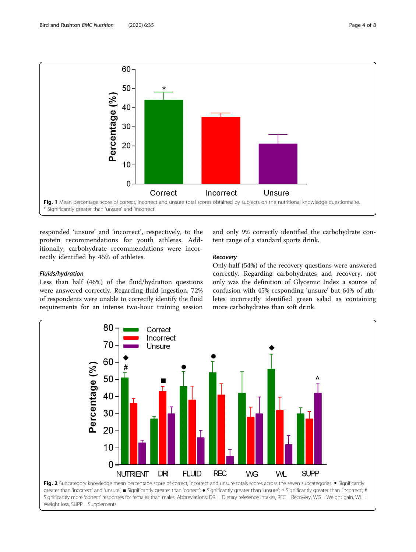<span id="page-3-0"></span>

responded 'unsure' and 'incorrect', respectively, to the protein recommendations for youth athletes. Additionally, carbohydrate recommendations were incorrectly identified by 45% of athletes.

#### Fluids/hydration

Less than half (46%) of the fluid/hydration questions were answered correctly. Regarding fluid ingestion, 72% of respondents were unable to correctly identify the fluid requirements for an intense two-hour training session

and only 9% correctly identified the carbohydrate content range of a standard sports drink.

#### Recovery

Only half (54%) of the recovery questions were answered correctly. Regarding carbohydrates and recovery, not only was the definition of Glycemic Index a source of confusion with 45% responding 'unsure' but 64% of athletes incorrectly identified green salad as containing more carbohydrates than soft drink.

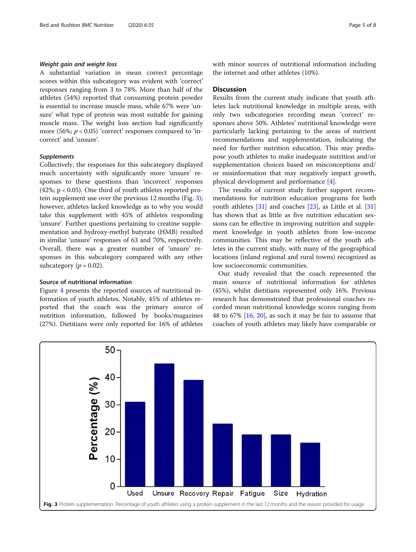#### Weight gain and weight loss

A substantial variation in mean correct percentage scores within this subcategory was evident with 'correct' responses ranging from 3 to 78%. More than half of the athletes (54%) reported that consuming protein powder is essential to increase muscle mass, while 67% were 'unsure' what type of protein was most suitable for gaining muscle mass. The weight loss section had significantly more (56%;  $p < 0.05$ ) 'correct' responses compared to 'incorrect' and 'unsure'.

#### Supplements

Collectively, the responses for this subcategory displayed much uncertainty with significantly more 'unsure' responses to these questions than 'incorrect' responses (42%; p < 0.05). One third of youth athletes reported protein supplement use over the previous 12 months (Fig. 3); however, athletes lacked knowledge as to why you would take this supplement with 45% of athletes responding 'unsure'. Further questions pertaining to creatine supplementation and hydroxy-methyl butyrate (HMB) resulted in similar 'unsure' responses of 63 and 70%, respectively. Overall, there was a greater number of 'unsure' responses in this subcategory compared with any other subcategory ( $p = 0.02$ ).

#### Source of nutritional information

Figure [4](#page-5-0) presents the reported sources of nutritional information of youth athletes. Notably, 45% of athletes reported that the coach was the primary source of nutrition information, followed by books/magazines (27%). Dietitians were only reported for 16% of athletes

with minor sources of nutritional information including the internet and other athletes (10%).

#### **Discussion**

Results from the current study indicate that youth athletes lack nutritional knowledge in multiple areas, with only two subcategories recording mean 'correct' responses above 50%. Athletes' nutritional knowledge were particularly lacking pertaining to the areas of nutrient recommendations and supplementation, indicating the need for further nutrition education. This may predispose youth athletes to make inadequate nutrition and/or supplementation choices based on misconceptions and/ or misinformation that may negatively impact growth, physical development and performance [[4\]](#page-6-0).

The results of current study further support recommendations for nutrition education programs for both youth athletes [[31](#page-7-0)] and coaches [\[23](#page-7-0)], as Little et al. [[31](#page-7-0)] has shown that as little as five nutrition education sessions can be effective in improving nutrition and supplement knowledge in youth athletes from low-income communities. This may be reflective of the youth athletes in the current study, with many of the geographical locations (inland regional and rural towns) recognized as low socioeconomic communities.

Our study revealed that the coach represented the main source of nutritional information for athletes (45%), whilst dietitians represented only 16%. Previous research has demonstrated that professional coaches recorded mean nutritional knowledge scores ranging from 48 to 67%  $[16, 20]$  $[16, 20]$  $[16, 20]$  $[16, 20]$ , as such it may be fair to assume that coaches of youth athletes may likely have comparable or

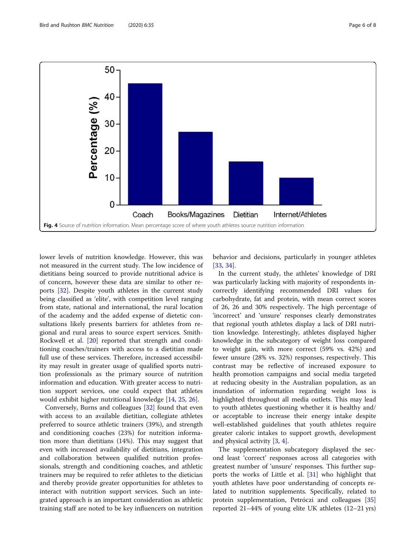<span id="page-5-0"></span>

lower levels of nutrition knowledge. However, this was not measured in the current study. The low incidence of dietitians being sourced to provide nutritional advice is of concern, however these data are similar to other reports [\[32](#page-7-0)]. Despite youth athletes in the current study being classified as 'elite', with competition level ranging from state, national and international, the rural location of the academy and the added expense of dietetic consultations likely presents barriers for athletes from regional and rural areas to source expert services. Smith-Rockwell et al. [[20\]](#page-7-0) reported that strength and conditioning coaches/trainers with access to a dietitian made full use of these services. Therefore, increased accessibility may result in greater usage of qualified sports nutrition professionals as the primary source of nutrition information and education. With greater access to nutrition support services, one could expect that athletes would exhibit higher nutritional knowledge [\[14](#page-7-0), [25](#page-7-0), [26](#page-7-0)].

Conversely, Burns and colleagues [[32\]](#page-7-0) found that even with access to an available dietitian, collegiate athletes preferred to source athletic trainers (39%), and strength and conditioning coaches (23%) for nutrition information more than dietitians (14%). This may suggest that even with increased availability of dietitians, integration and collaboration between qualified nutrition professionals, strength and conditioning coaches, and athletic trainers may be required to refer athletes to the dietician and thereby provide greater opportunities for athletes to interact with nutrition support services. Such an integrated approach is an important consideration as athletic training staff are noted to be key influencers on nutrition

behavior and decisions, particularly in younger athletes [[33,](#page-7-0) [34\]](#page-7-0).

In the current study, the athletes' knowledge of DRI was particularly lacking with majority of respondents incorrectly identifying recommended DRI values for carbohydrate, fat and protein, with mean correct scores of 26, 26 and 30% respectively. The high percentage of 'incorrect' and 'unsure' responses clearly demonstrates that regional youth athletes display a lack of DRI nutrition knowledge. Interestingly, athletes displayed higher knowledge in the subcategory of weight loss compared to weight gain, with more correct (59% vs. 42%) and fewer unsure (28% vs. 32%) responses, respectively. This contrast may be reflective of increased exposure to health promotion campaigns and social media targeted at reducing obesity in the Australian population, as an inundation of information regarding weight loss is highlighted throughout all media outlets. This may lead to youth athletes questioning whether it is healthy and/ or acceptable to increase their energy intake despite well-established guidelines that youth athletes require greater caloric intakes to support growth, development and physical activity [[3](#page-6-0), [4](#page-6-0)].

The supplementation subcategory displayed the second least 'correct' responses across all categories with greatest number of 'unsure' responses. This further supports the works of Little et al. [[31\]](#page-7-0) who highlight that youth athletes have poor understanding of concepts related to nutrition supplements. Specifically, related to protein supplementation, Petróczi and colleagues [[35](#page-7-0)] reported 21–44% of young elite UK athletes (12–21 yrs)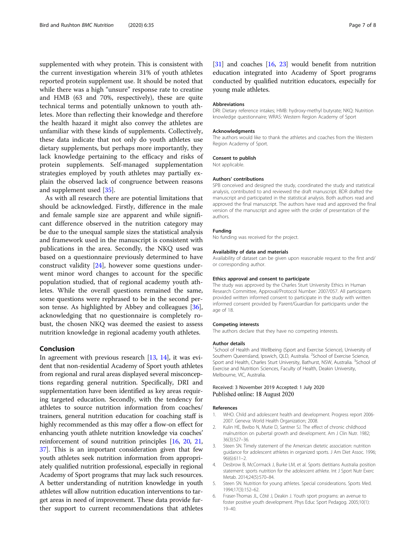<span id="page-6-0"></span>supplemented with whey protein. This is consistent with the current investigation wherein 31% of youth athletes reported protein supplement use. It should be noted that while there was a high "unsure" response rate to creatine and HMB (63 and 70%, respectively), these are quite technical terms and potentially unknown to youth athletes. More than reflecting their knowledge and therefore the health hazard it might also convey the athletes are unfamiliar with these kinds of supplements. Collectively, these data indicate that not only do youth athletes use dietary supplements, but perhaps more importantly, they lack knowledge pertaining to the efficacy and risks of protein supplements. Self-managed supplementation strategies employed by youth athletes may partially explain the observed lack of congruence between reasons and supplement used [\[35\]](#page-7-0).

As with all research there are potential limitations that should be acknowledged. Firstly, difference in the male and female sample size are apparent and while significant difference observed in the nutrition category may be due to the unequal sample sizes the statistical analysis and framework used in the manuscript is consistent with publications in the area. Secondly, the NKQ used was based on a questionnaire previously determined to have construct validity [\[24](#page-7-0)], however some questions underwent minor word changes to account for the specific population studied, that of regional academy youth athletes. While the overall questions remained the same, some questions were rephrased to be in the second person tense. As highlighted by Abbey and colleagues [\[36](#page-7-0)], acknowledging that no questionnaire is completely robust, the chosen NKQ was deemed the easiest to assess nutrition knowledge in regional academy youth athletes.

#### Conclusion

In agreement with previous research [[13](#page-7-0), [14\]](#page-7-0), it was evident that non-residential Academy of Sport youth athletes from regional and rural areas displayed several misconceptions regarding general nutrition. Specifically, DRI and supplementation have been identified as key areas requiring targeted education. Secondly, with the tendency for athletes to source nutrition information from coaches/ trainers, general nutrition education for coaching staff is highly recommended as this may offer a flow-on effect for enhancing youth athlete nutrition knowledge via coaches' reinforcement of sound nutrition principles [\[16,](#page-7-0) [20](#page-7-0), [21](#page-7-0), [37](#page-7-0)]. This is an important consideration given that few youth athletes seek nutrition information from appropriately qualified nutrition professional, especially in regional Academy of Sport programs that may lack such resources. A better understanding of nutrition knowledge in youth athletes will allow nutrition education interventions to target areas in need of improvement. These data provide further support to current recommendations that athletes

[[31](#page-7-0)] and coaches [[16](#page-7-0), [23\]](#page-7-0) would benefit from nutrition education integrated into Academy of Sport programs conducted by qualified nutrition educators, especially for young male athletes.

#### Abbreviations

DRI: Dietary reference intakes; HMB: hydroxy-methyl butyrate; NKQ: Nutrition knowledge questionnaire; WRAS: Western Region Academy of Sport

#### Acknowledgments

The authors would like to thank the athletes and coaches from the Western Region Academy of Sport.

#### Consent to publish

Not applicable.

#### Authors' contributions

SPB conceived and designed the study, coordinated the study and statistical analysis, contributed to and reviewed the draft manuscript. BDR drafted the manuscript and participated in the statistical analysis. Both authors read and approved the final manuscript. The authors have read and approved the final version of the manuscript and agree with the order of presentation of the authors.

#### Funding

No funding was received for the project.

#### Availability of data and materials

Availability of dataset can be given upon reasonable request to the first and/ or corresponding author.

#### Ethics approval and consent to participate

The study was approved by the Charles Sturt University Ethics in Human Research Committee, Approval/Protocol Number: 2007/057. All participants provided written informed consent to participate in the study with written informed consent provided by Parent/Guardian for participants under the age of 18.

#### Competing interests

The authors declare that they have no competing interests.

#### Author details

<sup>1</sup>School of Health and Wellbeing (Sport and Exercise Science), University of Southern Queensland, Ipswich, QLD, Australia. <sup>2</sup>School of Exercise Science, Sport and Health, Charles Sturt University, Bathurst, NSW, Australia. <sup>3</sup>School of Exercise and Nutrition Sciences, Faculty of Health, Deakin University, Melbourne, VIC, Australia.

#### Received: 3 November 2019 Accepted: 1 July 2020 Published online: 18 August 2020

#### References

- 1. WHO. Child and adolescent health and development. Progress report 2006- 2007. Geneva: World Health Organization; 2008.
- 2. Kulin HE, Bwibo N, Mutie D, Santner SJ. The effect of chronic childhood malnutrition on pubertal growth and development. Am J Clin Nutr. 1982; 36(3):527–36.
- 3. Steen SN. Timely statement of the American dietetic association: nutrition guidance for adolescent athletes in organized sports. J Am Diet Assoc. 1996; 96(6):611–2.
- 4. Desbrow B, McCormack J, Burke LM, et al. Sports dietitians Australia position statement: sports nutrition for the adolescent athlete. Int J Sport Nutr Exerc Metab. 2014;24(5):570–84.
- 5. Steen SN. Nutrition for young athletes. Special considerations. Sports Med. 1994;17(3):152–62.
- 6. Fraser-Thomas JL, Côté J, Deakin J. Youth sport programs: an avenue to foster positive youth development. Phys Educ Sport Pedagog. 2005;10(1): 19–40.